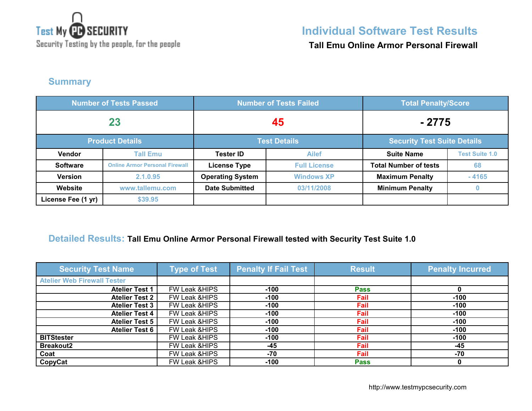

Security Testing by the people, for the people

## **Individual Software Test Results**

**Tall Emu Online Armor Personal Firewall**

### **Summary**

| <b>Number of Tests Passed</b> |                                               | <b>Number of Tests Failed</b> |                     | <b>Total Penalty/Score</b>         |                       |
|-------------------------------|-----------------------------------------------|-------------------------------|---------------------|------------------------------------|-----------------------|
| 23                            |                                               | 45                            |                     | - 2775                             |                       |
|                               | <b>Product Details</b><br><b>Test Details</b> |                               |                     | <b>Security Test Suite Details</b> |                       |
| Vendor                        | <b>Tall Emu</b>                               | <b>Tester ID</b>              | <b>Ailef</b>        | <b>Suite Name</b>                  | <b>Test Suite 1.0</b> |
| <b>Software</b>               | <b>Online Armor Personal Firewall</b>         | <b>License Type</b>           | <b>Full License</b> | <b>Total Number of tests</b>       | 68                    |
| <b>Version</b>                | 2.1.0.95                                      | <b>Operating System</b>       | <b>Windows XP</b>   | <b>Maximum Penalty</b>             | $-4165$               |
| Website                       | www.tallemu.com                               | <b>Date Submitted</b>         | 03/11/2008          | <b>Minimum Penalty</b>             | 0                     |
| License Fee (1 yr)            | \$39.95                                       |                               |                     |                                    |                       |

## **Detailed Results: Tall Emu Online Armor Personal Firewall tested with Security Test Suite 1.0**

| <b>Security Test Name</b>          | <b>Type of Test</b>      | <b>Penalty If Fail Test</b> | <b>Result</b> | <b>Penalty Incurred</b> |
|------------------------------------|--------------------------|-----------------------------|---------------|-------------------------|
| <b>Atelier Web Firewall Tester</b> |                          |                             |               |                         |
| <b>Atelier Test 1</b>              | FW Leak & HIPS           | $-100$                      | <b>Pass</b>   |                         |
| <b>Atelier Test 2</b>              | FW Leak & HIPS           | $-100$                      | Fail          | $-100$                  |
| <b>Atelier Test 3</b>              | FW Leak & HIPS           | $-100$                      | Fail          | $-100$                  |
| <b>Atelier Test 4</b>              | FW Leak & HIPS           | $-100$                      | Fail          | $-100$                  |
| <b>Atelier Test 5</b>              | FW Leak & HIPS           | $-100$                      | Fail          | $-100$                  |
| <b>Atelier Test 6</b>              | FW Leak & HIPS           | $-100$                      | Fail          | $-100$                  |
| <b>BITStester</b>                  | FW Leak & HIPS           | $-100$                      | Fail          | $-100$                  |
| <b>Breakout2</b>                   | <b>FW Leak &amp;HIPS</b> | -45                         | Fail          | $-45$                   |
| Coat                               | FW Leak & HIPS           | -70                         | Fail          | -70                     |
| CopyCat                            | <b>FW Leak &amp;HIPS</b> | $-100$                      | <b>Pass</b>   |                         |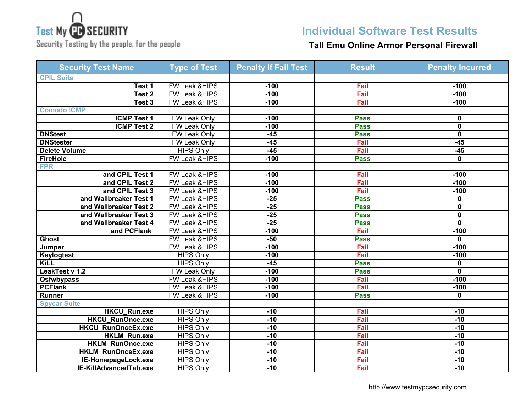# **Test My CD SECURITY**

Security Testing by the people, for the people

## **Individual Software Test Results**

### **Tall Emu Online Armor Personal Firewall**

| <b>Security Test Name</b> | <b>Type of Test</b>      | <b>Penalty If Fail Test</b> | <b>Result</b> | <b>Penalty Incurred</b> |
|---------------------------|--------------------------|-----------------------------|---------------|-------------------------|
| <b>CPIL Suite</b>         |                          |                             |               |                         |
| Test 1                    | FW Leak &HIPS            | $-100$                      | Fail          | $-100$                  |
| Test 2                    | <b>FW Leak &amp;HIPS</b> | $-100$                      | Fail          | $-100$                  |
| Test 3                    | <b>FW Leak &amp;HIPS</b> | $-100$                      | Fail          | $-100$                  |
| <b>Comodo ICMP</b>        |                          |                             |               |                         |
| <b>ICMP Test 1</b>        | <b>FW Leak Only</b>      | $-100$                      | <b>Pass</b>   | 0                       |
| <b>ICMP Test 2</b>        | <b>FW Leak Only</b>      | $-100$                      | <b>Pass</b>   | $\mathbf 0$             |
| <b>DNStest</b>            | FW Leak Only             | $-45$                       | <b>Pass</b>   | $\mathbf 0$             |
| <b>DNStester</b>          | <b>FW Leak Only</b>      | $-45$                       | Fail          | $-45$                   |
| Delete Volume             | <b>HIPS Only</b>         | $-45$                       | Fail          | $-45$                   |
| <b>FireHole</b>           | <b>FW Leak &amp;HIPS</b> | $-100$                      | <b>Pass</b>   | $\bf{0}$                |
| <b>FPR</b>                |                          |                             |               |                         |
| and CPIL Test 1           | <b>FW Leak &amp;HIPS</b> | $-100$                      | Fail          | $-100$                  |
| and CPIL Test 2           | FW Leak &HIPS            | $-100$                      | Fail          | $-100$                  |
| and CPIL Test 3           | FW Leak &HIPS            | $-100$                      | Fail          | $-100$                  |
| and Wallbreaker Test 1    | FW Leak &HIPS            | $-25$                       | <b>Pass</b>   | 0                       |
| and Wallbreaker Test 2    | FW Leak &HIPS            | $-25$                       | <b>Pass</b>   | $\mathbf 0$             |
| and Wallbreaker Test 3    | <b>FW Leak &amp;HIPS</b> | $-25$                       | <b>Pass</b>   | $\overline{\mathbf{0}}$ |
| and Wallbreaker Test 4    | FW Leak & HIPS           | $-25$                       | <b>Pass</b>   | $\mathbf{0}$            |
| and PCFlank               | FW Leak & HIPS           | $-100$                      | Fail          | $-100$                  |
| <b>Ghost</b>              | <b>FW Leak &amp;HIPS</b> | $-50$                       | <b>Pass</b>   | $\mathbf 0$             |
| Jumper                    | FW Leak &HIPS            | $-100$                      | Fail          | $-100$                  |
| <b>Keylogtest</b>         | <b>HIPS Only</b>         | $-100$                      | Fail          | $-100$                  |
| <b>KiLL</b>               | <b>HIPS Only</b>         | $-45$                       | <b>Pass</b>   | 0                       |
| LeakTest v 1.2            | FW Leak Only             | $-100$                      | <b>Pass</b>   | $\bf{0}$                |
| <b>Osfwbypass</b>         | <b>FW Leak &amp;HIPS</b> | $-100$                      | Fail          | $-100$                  |
| <b>PCFlank</b>            | <b>FW Leak &amp;HIPS</b> | $-100$                      | Fail          | $-100$                  |
| Runner                    | FW Leak & HIPS           | $-100$                      | <b>Pass</b>   | $\mathbf 0$             |
| <b>Spycar Suite</b>       |                          |                             |               |                         |
| <b>HKCU_Run.exe</b>       | <b>HIPS Only</b>         | $-10$                       | Fail          | $-10$                   |
| <b>HKCU RunOnce.exe</b>   | <b>HIPS Only</b>         | $-10$                       | Fail          | $-10$                   |
| <b>HKCU_RunOnceEx.exe</b> | <b>HIPS Only</b>         | $-10$                       | Fail          | $-10$                   |
| <b>HKLM Run.exe</b>       | <b>HIPS Only</b>         | $-10$                       | Fail          | $-10$                   |
| <b>HKLM RunOnce.exe</b>   | <b>HIPS Only</b>         | $-10$                       | Fail          | $-10$                   |
| <b>HKLM RunOnceEx.exe</b> | <b>HIPS Only</b>         | $-10$                       | Fail          | $-10$                   |
| IE-HomepageLock.exe       | <b>HIPS Only</b>         | $-10$                       | Fail          | $-10$                   |
| IE-KillAdvancedTab.exe    | <b>HIPS Only</b>         | $-10$                       | Fail          | $-10$                   |